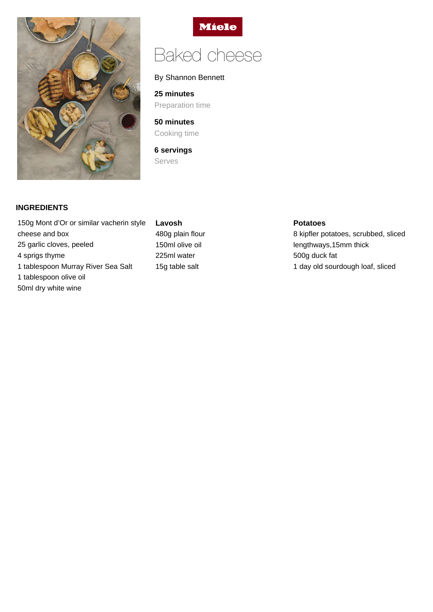



# Baked cheese

## By Shannon Bennett

**25 minutes** Preparation time

**50 minutes** Cooking time

**6 servings** Serves

# **INGREDIENTS**

150g Mont d'Or or similar vacherin style cheese and box 25 garlic cloves, peeled 4 sprigs thyme 1 tablespoon Murray River Sea Salt 1 tablespoon olive oil 50ml dry white wine

# **Lavosh** 480g plain flour 150ml olive oil 225ml water 15g table salt

#### **Potatoes**

8 kipfler potatoes, scrubbed, sliced lengthways,15mm thick 500g duck fat 1 day old sourdough loaf, sliced